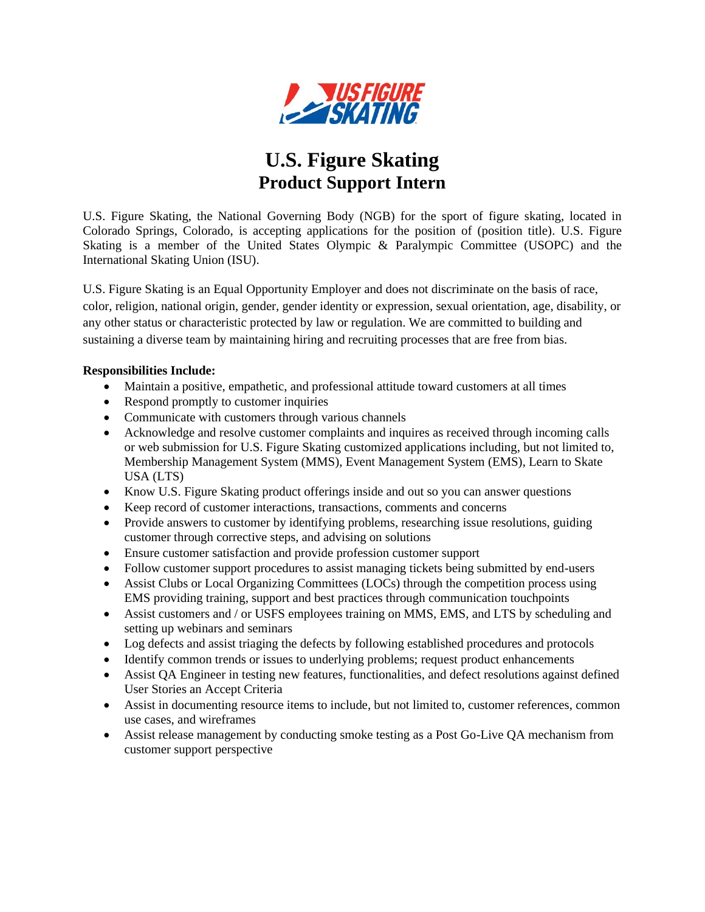

## **U.S. Figure Skating Product Support Intern**

U.S. Figure Skating, the National Governing Body (NGB) for the sport of figure skating, located in Colorado Springs, Colorado, is accepting applications for the position of (position title). U.S. Figure Skating is a member of the United States Olympic & Paralympic Committee (USOPC) and the International Skating Union (ISU).

U.S. Figure Skating is an Equal Opportunity Employer and does not discriminate on the basis of race, color, religion, national origin, gender, gender identity or expression, sexual orientation, age, disability, or any other status or characteristic protected by law or regulation. We are committed to building and sustaining a diverse team by maintaining hiring and recruiting processes that are free from bias.

## **Responsibilities Include:**

- Maintain a positive, empathetic, and professional attitude toward customers at all times
- Respond promptly to customer inquiries
- Communicate with customers through various channels
- Acknowledge and resolve customer complaints and inquires as received through incoming calls or web submission for U.S. Figure Skating customized applications including, but not limited to, Membership Management System (MMS), Event Management System (EMS), Learn to Skate USA (LTS)
- Know U.S. Figure Skating product offerings inside and out so you can answer questions
- Keep record of customer interactions, transactions, comments and concerns
- Provide answers to customer by identifying problems, researching issue resolutions, guiding customer through corrective steps, and advising on solutions
- Ensure customer satisfaction and provide profession customer support
- Follow customer support procedures to assist managing tickets being submitted by end-users
- Assist Clubs or Local Organizing Committees (LOCs) through the competition process using EMS providing training, support and best practices through communication touchpoints
- Assist customers and / or USFS employees training on MMS, EMS, and LTS by scheduling and setting up webinars and seminars
- Log defects and assist triaging the defects by following established procedures and protocols
- Identify common trends or issues to underlying problems; request product enhancements
- Assist QA Engineer in testing new features, functionalities, and defect resolutions against defined User Stories an Accept Criteria
- Assist in documenting resource items to include, but not limited to, customer references, common use cases, and wireframes
- Assist release management by conducting smoke testing as a Post Go-Live QA mechanism from customer support perspective